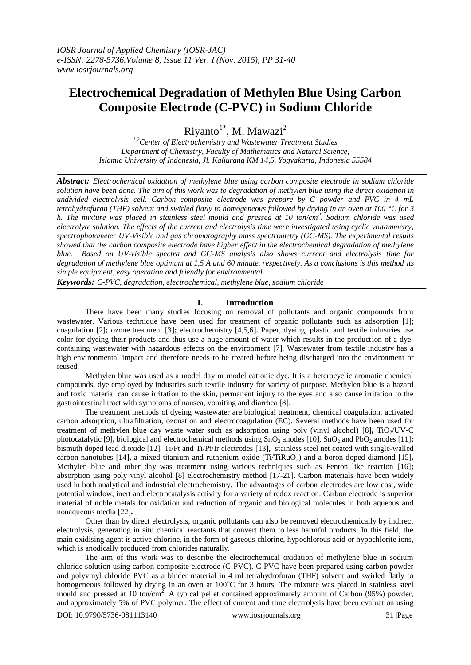# **Electrochemical Degradation of Methylen Blue Using Carbon Composite Electrode (C-PVC) in Sodium Chloride**

Riyanto<sup>1\*</sup>, M. Mawazi<sup>2</sup>

*1,2Center of Electrochemistry and Wastewater Treatment Studies Department of Chemistry, Faculty of Mathematics and Natural Science, Islamic University of Indonesia, Jl. Kaliurang KM 14,5, Yogyakarta, Indonesia 55584*

*Abstract: Electrochemical oxidation of methylene blue using carbon composite electrode in sodium chloride solution have been done. The aim of this work was to degradation of methylen blue using the direct oxidation in undivided electrolysis cell. Carbon composite electrode was prepare by C powder and PVC in 4 mL tetrahydrofuran (THF) solvent and swirled flatly to homogeneous followed by drying in an oven at 100 °C for 3 h. The mixture was placed in stainless steel mould and pressed at 10 ton/cm<sup>2</sup> . Sodium chloride was used electrolyte solution. The effects of the current and electrolysis time were investigated using cyclic voltammetry, spectrophotometer UV-Visible and gas chromatography mass spectrometry (GC-MS). The experimental results showed that the carbon composite electrode have higher effect in the electrochemical degradation of methylene blue. Based on UV-visible spectra and GC-MS analysis also shows current and electrolysis time for degradation of methylene blue optimum at 1,5 A and 60 minute, respectively. As a conclusions is this method its simple equipment, easy operation and friendly for environmental.*

*Keywords: C-PVC, degradation, electrochemical, methylene blue, sodium chloride*

## **I. Introduction**

There have been many studies focusing on removal of pollutants and organic compounds from wastewater. Various technique have been used for treatment of organic pollutants such as adsorption [1]; coagulation [2]**;** ozone treatment [3]**;** electrochemistry [4,5,6]**.** Paper, dyeing, plastic and textile industries use color for dyeing their products and thus use a huge amount of water which results in the production of a dyecontaining wastewater with hazardous effects on the environment [7]. Wastewater from textile industry has a high environmental impact and therefore needs to be treated before being discharged into the environment or reused.

Methylen blue was used as a model day or model cationic dye. It is a heterocyclic aromatic chemical compounds, dye employed by industries such textile industry for variety of purpose. Methylen blue is a hazard and toxic material can cause irritation to the skin, permanent injury to the eyes and also cause irritation to the gastrointestinal tract with symptoms of nausea, vomiting and diarrhea [8].

The treatment methods of dyeing wastewater are biological treatment, chemical coagulation, activated carbon adsorption, ultrafiltration, ozonation and electrocoagulation (EC). Several methods have been used for treatment of methylen blue day waste water such as adsorption using poly (vinyl alcohol) [8], TiO<sub>2</sub>/UV-C photocatalytic [9], biological and electrochemical methods using  $SnO<sub>2</sub>$  anodes [10],  $SnO<sub>2</sub>$  and PbO<sub>2</sub> anodes [11]; bismuth doped lead dioxide [12], Ti/Pt and Ti/Pt/Ir electrodes [13]**,** stainless steel net coated with single-walled carbon nanotubes [14], a mixed titanium and ruthenium oxide  $(Ti/TiRuO<sub>2</sub>)$  and a boron-doped diamond [15]. Methylen blue and other day was treatment using various techniques such as Fenton like reaction [16]**;** absorption using poly vinyl alcohol [8] electrochemistry method [17-21]**.** Carbon materials have been widely used in both analytical and industrial electrochemistry. The advantages of carbon electrodes are low cost, wide potential window, inert and electrocatalysis activity for a variety of redox reaction. Carbon electrode is superior material of noble metals for oxidation and reduction of organic and biological molecules in both aqueous and nonaqueous media [22]**.**

Other than by direct electrolysis, organic pollutants can also be removed electrochemically by indirect electrolysis, generating in situ chemical reactants that convert them to less harmful products. In this field, the main oxidising agent is active chlorine, in the form of gaseous chlorine, hypochlorous acid or hypochlorite ions, which is anodically produced from chlorides naturally.

The aim of this work was to describe the electrochemical oxidation of methylene blue in sodium chloride solution using carbon composite electrode (C-PVC). C-PVC have been prepared using carbon powder and polyvinyl chloride PVC as a binder material in 4 ml tetrahydrofuran (THF) solvent and swirled flatly to homogeneous followed by drying in an oven at 100°C for 3 hours. The mixture was placed in stainless steel mould and pressed at 10 ton/cm<sup>2</sup>. A typical pellet contained approximately amount of Carbon (95%) powder, and approximately 5% of PVC polymer. The effect of current and time electrolysis have been evaluation using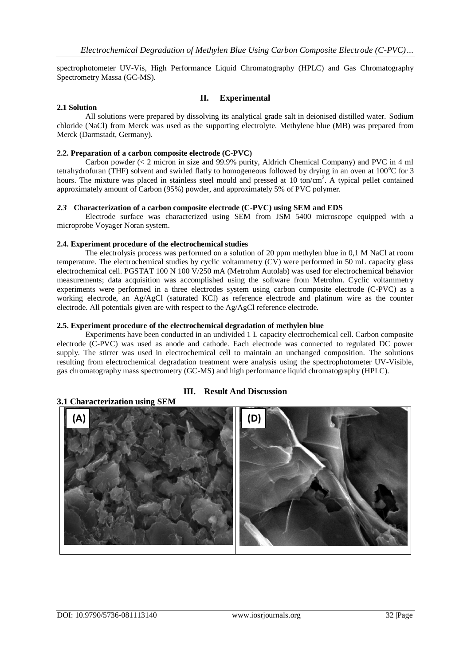spectrophotometer UV-Vis, High Performance Liquid Chromatography (HPLC) and Gas Chromatography Spectrometry Massa (GC-MS).

## **II. Experimental**

#### **2.1 Solution**

All solutions were prepared by dissolving its analytical grade salt in deionised distilled water. Sodium chloride (NaCl) from Merck was used as the supporting electrolyte. Methylene blue (MB) was prepared from Merck (Darmstadt, Germany).

#### **2.2. Preparation of a carbon composite electrode (C-PVC)**

Carbon powder (< 2 micron in size and 99.9% purity, Aldrich Chemical Company) and PVC in 4 ml tetrahydrofuran (THF) solvent and swirled flatly to homogeneous followed by drying in an oven at  $100^{\circ}$ C for 3 hours. The mixture was placed in stainless steel mould and pressed at 10 ton/cm<sup>2</sup>. A typical pellet contained approximately amount of Carbon (95%) powder, and approximately 5% of PVC polymer.

#### *2.3* **Characterization of a carbon composite electrode (C-PVC) using SEM and EDS**

Electrode surface was characterized using SEM from JSM 5400 microscope equipped with a microprobe Voyager Noran system.

#### **2.4. Experiment procedure of the electrochemical studies**

The electrolysis process was performed on a solution of 20 ppm methylen blue in 0,1 M NaCl at room temperature. The electrochemical studies by cyclic voltammetry (CV) were performed in 50 mL capacity glass electrochemical cell. PGSTAT 100 N 100 V/250 mA (Metrohm Autolab) was used for electrochemical behavior measurements; data acquisition was accomplished using the software from Metrohm. Cyclic voltammetry experiments were performed in a three electrodes system using carbon composite electrode (C-PVC) as a working electrode, an Ag/AgCl (saturated KCl) as reference electrode and platinum wire as the counter electrode. All potentials given are with respect to the Ag/AgCl reference electrode.

#### **2.5. Experiment procedure of the electrochemical degradation of methylen blue**

Experiments have been conducted in an undivided 1 L capacity electrochemical cell. Carbon composite electrode (C-PVC) was used as anode and cathode. Each electrode was connected to regulated DC power supply. The stirrer was used in electrochemical cell to maintain an unchanged composition. The solutions resulting from electrochemical degradation treatment were analysis using the spectrophotometer UV-Visible, gas chromatography mass spectrometry (GC-MS) and high performance liquid chromatography (HPLC).

## **III. Result And Discussion**

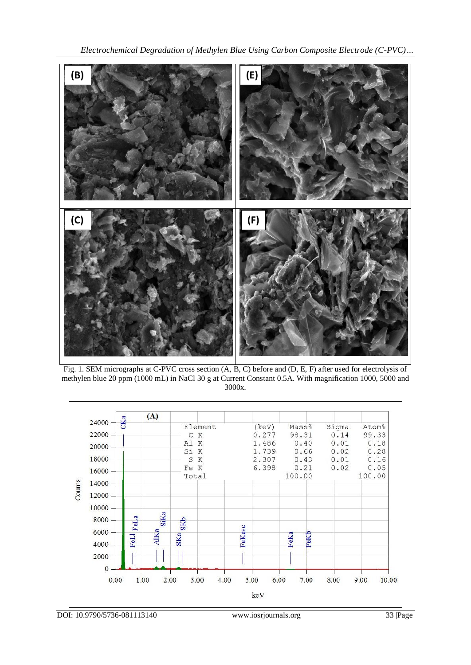*Electrochemical Degradation of Methylen Blue Using Carbon Composite Electrode (C-PVC)…*



Fig. 1. SEM micrographs at C-PVC cross section (A, B, C) before and (D, E, F) after used for electrolysis of methylen blue 20 ppm (1000 mL) in NaCl 30 g at Current Constant 0.5A. With magnification 1000, 5000 and 3000x.



DOI: 10.9790/5736-081113140 www.iosrjournals.org 33 |Page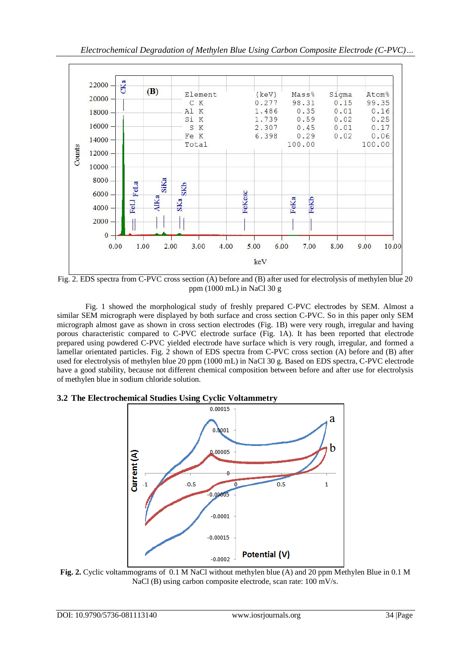

Fig. 2. EDS spectra from C-PVC cross section (A) before and (B) after used for electrolysis of methylen blue 20 ppm (1000 mL) in NaCl 30 g

Fig. 1 showed the morphological study of freshly prepared C-PVC electrodes by SEM. Almost a similar SEM micrograph were displayed by both surface and cross section C-PVC. So in this paper only SEM micrograph almost gave as shown in cross section electrodes (Fig. 1B) were very rough, irregular and having porous characteristic compared to C-PVC electrode surface (Fig. 1A). It has been reported that electrode prepared using powdered C-PVC yielded electrode have surface which is very rough, irregular, and formed a lamellar orientated particles. Fig. 2 shown of EDS spectra from C-PVC cross section (A) before and (B) after used for electrolysis of methylen blue 20 ppm (1000 mL) in NaCl 30 g. Based on EDS spectra, C-PVC electrode have a good stability, because not different chemical composition between before and after use for electrolysis of methylen blue in sodium chloride solution.

## **3.2 The Electrochemical Studies Using Cyclic Voltammetry**



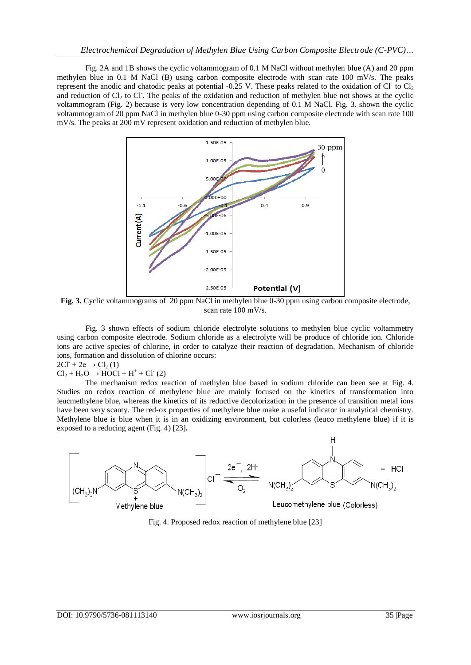Fig. 2A and 1B shows the cyclic voltammogram of 0.1 M NaCl without methylen blue (A) and 20 ppm methylen blue in 0.1 M NaCl (B) using carbon composite electrode with scan rate 100 mV/s. The peaks represent the anodic and chatodic peaks at potential -0.25 V. These peaks related to the oxidation of Cl to  $Cl<sub>2</sub>$ and reduction of  $Cl_2$  to Cl. The peaks of the oxidation and reduction of methylen blue not shows at the cyclic voltammogram (Fig. 2) because is very low concentration depending of 0.1 M NaCl. Fig. 3. shown the cyclic voltammogram of 20 ppm NaCl in methylen blue 0-30 ppm using carbon composite electrode with scan rate 100 mV/s. The peaks at 200 mV represent oxidation and reduction of methylen blue.



**Fig. 3.** Cyclic voltammograms of 20 ppm NaCl in methylen blue 0-30 ppm using carbon composite electrode, scan rate 100 mV/s.

Fig. 3 shown effects of sodium chloride electrolyte solutions to methylen blue cyclic voltammetry using carbon composite electrode. Sodium chloride as a electrolyte will be produce of chloride ion. Chloride ions are active species of chlorine, in order to catalyze their reaction of degradation. Mechanism of chloride ions, formation and dissolution of chlorine occurs:

 $2CI^{-} + 2e \rightarrow Cl_2(1)$ 

 $Cl_2 + H_2O \rightarrow HOCl + H^+ + Cl^-(2)$ 

The mechanism redox reaction of methylen blue based in sodium chloride can been see at Fig. 4. Studies on redox reaction of methylene blue are mainly focused on the kinetics of transformation into leucmethylene blue, whereas the kinetics of its reductive decolorization in the presence of transition metal ions have been very scanty. The red-ox properties of methylene blue make a useful indicator in analytical chemistry. Methylene blue is blue when it is in an oxidizing environment, but colorless (leuco methylene blue) if it is exposed to a reducing agent (Fig. 4) [23]**.**



Fig. 4. Proposed redox reaction of methylene blue [23]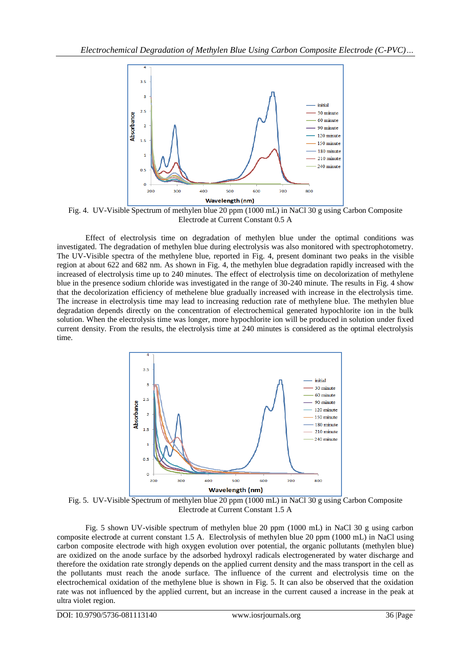

Fig. 4. UV-Visible Spectrum of methylen blue 20 ppm (1000 mL) in NaCl 30 g using Carbon Composite Electrode at Current Constant 0.5 A

Effect of electrolysis time on degradation of methylen blue under the optimal conditions was investigated. The degradation of methylen blue during electrolysis was also monitored with spectrophotometry. The UV-Visible spectra of the methylene blue, reported in Fig. 4, present dominant two peaks in the visible region at about 622 and 682 nm. As shown in Fig. 4, the methylen blue degradation rapidly increased with the increased of electrolysis time up to 240 minutes. The effect of electrolysis time on decolorization of methylene blue in the presence sodium chloride was investigated in the range of 30-240 minute. The results in Fig. 4 show that the decolorization efficiency of methelene blue gradually increased with increase in the electrolysis time. The increase in electrolysis time may lead to increasing reduction rate of methylene blue. The methylen blue degradation depends directly on the concentration of electrochemical generated hypochlorite ion in the bulk solution. When the electrolysis time was longer, more hypochlorite ion will be produced in solution under fixed current density. From the results, the electrolysis time at 240 minutes is considered as the optimal electrolysis time.



Fig. 5. UV-Visible Spectrum of methylen blue 20 ppm (1000 mL) in NaCl 30 g using Carbon Composite Electrode at Current Constant 1.5 A

Fig. 5 shown UV-visible spectrum of methylen blue 20 ppm (1000 mL) in NaCl 30 g using carbon composite electrode at current constant 1.5 A. Electrolysis of methylen blue 20 ppm (1000 mL) in NaCl using carbon composite electrode with high oxygen evolution over potential, the organic pollutants (methylen blue) are oxidized on the anode surface by the adsorbed hydroxyl radicals electrogenerated by water discharge and therefore the oxidation rate strongly depends on the applied current density and the mass transport in the cell as the pollutants must reach the anode surface. The influence of the current and electrolysis time on the electrochemical oxidation of the methylene blue is shown in Fig. 5. It can also be observed that the oxidation rate was not influenced by the applied current, but an increase in the current caused a increase in the peak at ultra violet region.

DOI: 10.9790/5736-081113140 www.iosrjournals.org 36 |Page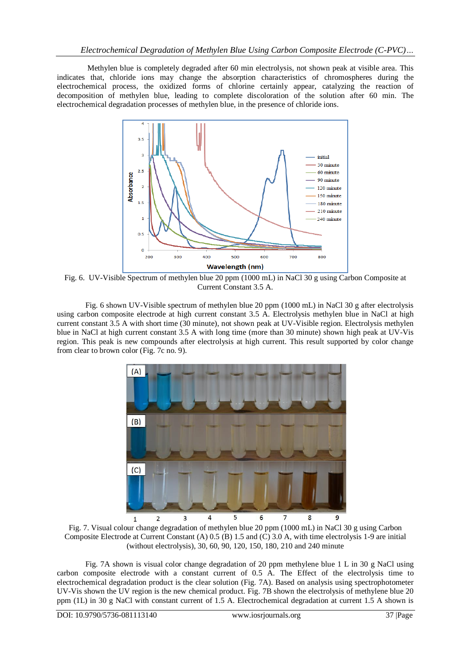Methylen blue is completely degraded after 60 min electrolysis, not shown peak at visible area. This indicates that, chloride ions may change the absorption characteristics of chromospheres during the electrochemical process, the oxidized forms of chlorine certainly appear, catalyzing the reaction of decomposition of methylen blue, leading to complete discoloration of the solution after 60 min. The electrochemical degradation processes of methylen blue, in the presence of chloride ions.



Fig. 6. UV-Visible Spectrum of methylen blue 20 ppm (1000 mL) in NaCl 30 g using Carbon Composite at Current Constant 3.5 A.

Fig. 6 shown UV-Visible spectrum of methylen blue 20 ppm (1000 mL) in NaCl 30 g after electrolysis using carbon composite electrode at high current constant 3.5 A. Electrolysis methylen blue in NaCl at high current constant 3.5 A with short time (30 minute), not shown peak at UV-Visible region. Electrolysis methylen blue in NaCl at high current constant 3.5 A with long time (more than 30 minute) shown high peak at UV-Vis region. This peak is new compounds after electrolysis at high current. This result supported by color change from clear to brown color (Fig. 7c no. 9).



Fig. 7. Visual colour change degradation of methylen blue 20 ppm (1000 mL) in NaCl 30 g using Carbon Composite Electrode at Current Constant (A) 0.5 (B) 1.5 and (C) 3.0 A, with time electrolysis 1-9 are initial (without electrolysis), 30, 60, 90, 120, 150, 180, 210 and 240 minute

Fig. 7A shown is visual color change degradation of 20 ppm methylene blue 1 L in 30 g NaCl using carbon composite electrode with a constant current of 0.5 A. The Effect of the electrolysis time to electrochemical degradation product is the clear solution (Fig. 7A). Based on analysis using spectrophotometer UV-Vis shown the UV region is the new chemical product. Fig. 7B shown the electrolysis of methylene blue 20 ppm (1L) in 30 g NaCl with constant current of 1.5 A. Electrochemical degradation at current 1.5 A shown is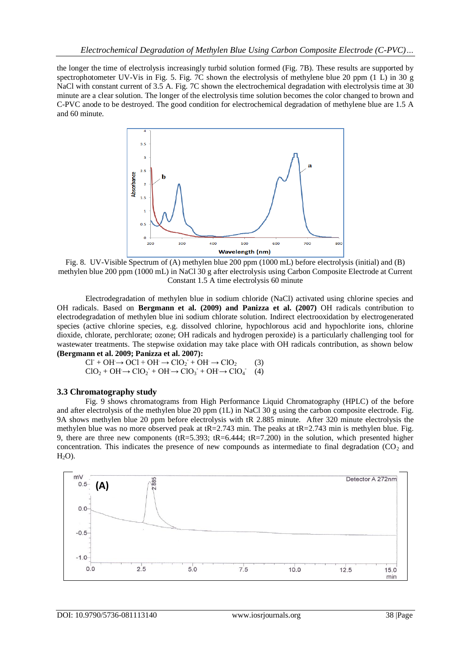the longer the time of electrolysis increasingly turbid solution formed (Fig. 7B). These results are supported by spectrophotometer UV-Vis in Fig. 5. Fig. 7C shown the electrolysis of methylene blue 20 ppm (1 L) in 30 g NaCl with constant current of 3.5 A. Fig. 7C shown the electrochemical degradation with electrolysis time at 30 minute are a clear solution. The longer of the electrolysis time solution becomes the color changed to brown and C-PVC anode to be destroyed. The good condition for electrochemical degradation of methylene blue are 1.5 A and 60 minute.



Fig. 8. UV-Visible Spectrum of (A) methylen blue 200 ppm (1000 mL) before electrolysis (initial) and (B) methylen blue 200 ppm (1000 mL) in NaCl 30 g after electrolysis using Carbon Composite Electrode at Current Constant 1.5 A time electrolysis 60 minute

Electrodegradation of methylen blue in sodium chloride (NaCl) activated using chlorine species and OH radicals. Based on **Bergmann et al. (2009) and Panizza et al. (2007)** OH radicals contribution to electrodegradation of methylen blue ini sodium chlorate solution. Indirect electrooxidation by electrogenerated species (active chlorine species, e.g. dissolved chlorine, hypochlorous acid and hypochlorite ions, chlorine dioxide, chlorate, perchlorate; ozone; OH radicals and hydrogen peroxide) is a particularly challenging tool for wastewater treatments. The stepwise oxidation may take place with OH radicals contribution, as shown below **(Bergmann et al. 2009; Panizza et al. 2007):** 

 $CI^+ + OH \rightarrow OCl + OH \rightarrow ClO_2^+ + OH \rightarrow ClO_2$  (3)  $ClO_2 + OH \rightarrow ClO_2 + OH \rightarrow ClO_3 + OH \rightarrow ClO_4$ (4)

#### **3.3 Chromatography study**

Fig. 9 shows chromatograms from High Performance Liquid Chromatography (HPLC) of the before and after electrolysis of the methylen blue 20 ppm (1L) in NaCl 30 g using the carbon composite electrode. Fig. 9A shows methylen blue 20 ppm before electrolysis with tR 2.885 minute. After 320 minute electrolysis the methylen blue was no more observed peak at tR=2.743 min. The peaks at tR=2.743 min is methylen blue. Fig. 9, there are three new components (tR=5.393; tR=6.444; tR=7.200) in the solution, which presented higher concentration. This indicates the presence of new compounds as intermediate to final degradation ( $CO<sub>2</sub>$  and  $H<sub>2</sub>O$ ).

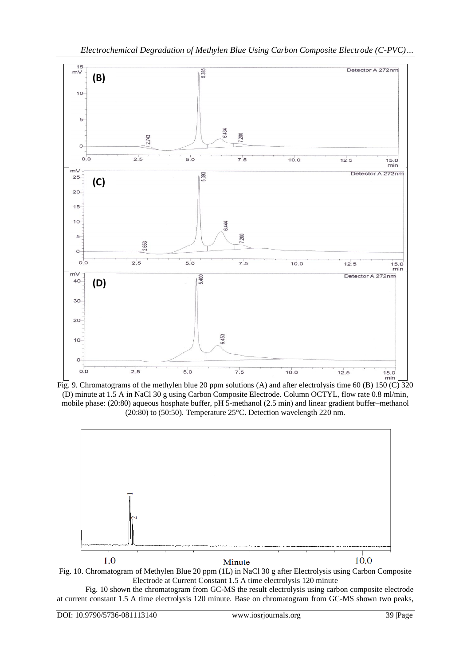







Fig. 10 shown the chromatogram from GC-MS the result electrolysis using carbon composite electrode at current constant 1.5 A time electrolysis 120 minute. Base on chromatogram from GC-MS shown two peaks,